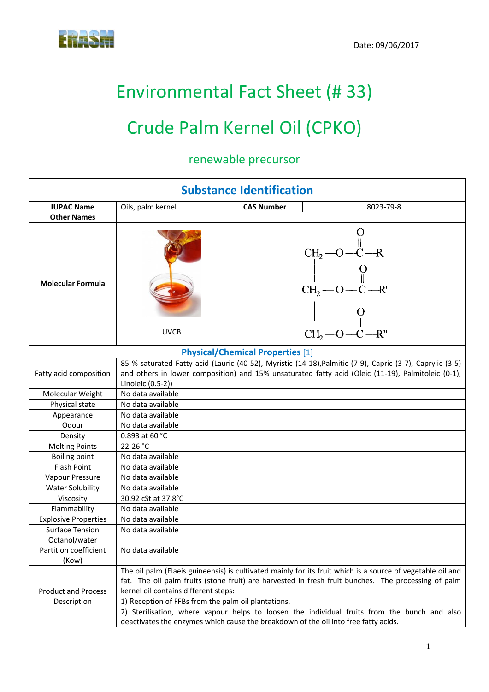# Environmental Fact Sheet (# 33)

## Crude Palm Kernel Oil (CPKO)

## renewable precursor

| <b>Substance Identification</b>           |                                                                                                                                                                                    |                   |                                                                                                                                                                                                                                                                                                                   |  |
|-------------------------------------------|------------------------------------------------------------------------------------------------------------------------------------------------------------------------------------|-------------------|-------------------------------------------------------------------------------------------------------------------------------------------------------------------------------------------------------------------------------------------------------------------------------------------------------------------|--|
| <b>IUPAC Name</b>                         | Oils, palm kernel                                                                                                                                                                  | <b>CAS Number</b> | 8023-79-8                                                                                                                                                                                                                                                                                                         |  |
| <b>Other Names</b>                        |                                                                                                                                                                                    |                   |                                                                                                                                                                                                                                                                                                                   |  |
| <b>Molecular Formula</b>                  | <b>UVCB</b>                                                                                                                                                                        |                   | $CH_2$ -O -C -R<br>0<br>0<br>$C$ -C -<br>$CH2$ -O - C - R'<br>$CH, -O-C-R''$                                                                                                                                                                                                                                      |  |
| <b>Physical/Chemical Properties</b> [1]   |                                                                                                                                                                                    |                   |                                                                                                                                                                                                                                                                                                                   |  |
| Fatty acid composition                    | Linoleic (0.5-2))                                                                                                                                                                  |                   | 85 % saturated Fatty acid (Lauric (40-52), Myristic (14-18), Palmitic (7-9), Capric (3-7), Caprylic (3-5)<br>and others in lower composition) and 15% unsaturated fatty acid (Oleic (11-19), Palmitoleic (0-1),                                                                                                   |  |
| Molecular Weight                          | No data available                                                                                                                                                                  |                   |                                                                                                                                                                                                                                                                                                                   |  |
| Physical state                            | No data available                                                                                                                                                                  |                   |                                                                                                                                                                                                                                                                                                                   |  |
| Appearance                                | No data available                                                                                                                                                                  |                   |                                                                                                                                                                                                                                                                                                                   |  |
| Odour                                     | No data available                                                                                                                                                                  |                   |                                                                                                                                                                                                                                                                                                                   |  |
| Density                                   | 0.893 at 60 °C                                                                                                                                                                     |                   |                                                                                                                                                                                                                                                                                                                   |  |
| <b>Melting Points</b>                     | $22 - 26 °C$                                                                                                                                                                       |                   |                                                                                                                                                                                                                                                                                                                   |  |
| <b>Boiling point</b>                      | No data available                                                                                                                                                                  |                   |                                                                                                                                                                                                                                                                                                                   |  |
| <b>Flash Point</b>                        | No data available                                                                                                                                                                  |                   |                                                                                                                                                                                                                                                                                                                   |  |
| Vapour Pressure                           | No data available                                                                                                                                                                  |                   |                                                                                                                                                                                                                                                                                                                   |  |
| <b>Water Solubility</b>                   | No data available                                                                                                                                                                  |                   |                                                                                                                                                                                                                                                                                                                   |  |
| Viscosity                                 | 30.92 cSt at 37.8°C                                                                                                                                                                |                   |                                                                                                                                                                                                                                                                                                                   |  |
| Flammability                              | No data available                                                                                                                                                                  |                   |                                                                                                                                                                                                                                                                                                                   |  |
| <b>Explosive Properties</b>               | No data available                                                                                                                                                                  |                   |                                                                                                                                                                                                                                                                                                                   |  |
| <b>Surface Tension</b>                    | No data available                                                                                                                                                                  |                   |                                                                                                                                                                                                                                                                                                                   |  |
| Octanol/water                             |                                                                                                                                                                                    |                   |                                                                                                                                                                                                                                                                                                                   |  |
| Partition coefficient                     | No data available                                                                                                                                                                  |                   |                                                                                                                                                                                                                                                                                                                   |  |
| (Kow)                                     |                                                                                                                                                                                    |                   |                                                                                                                                                                                                                                                                                                                   |  |
| <b>Product and Process</b><br>Description | kernel oil contains different steps:<br>1) Reception of FFBs from the palm oil plantations.<br>deactivates the enzymes which cause the breakdown of the oil into free fatty acids. |                   | The oil palm (Elaeis guineensis) is cultivated mainly for its fruit which is a source of vegetable oil and<br>fat. The oil palm fruits (stone fruit) are harvested in fresh fruit bunches. The processing of palm<br>2) Sterilisation, where vapour helps to loosen the individual fruits from the bunch and also |  |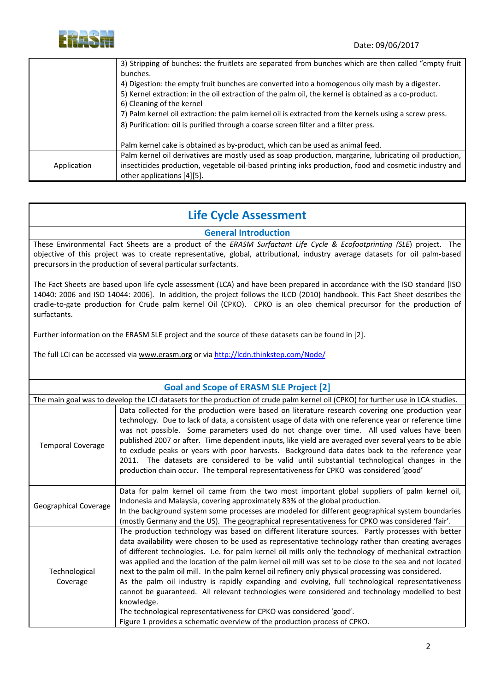

|             | 3) Stripping of bunches: the fruitlets are separated from bunches which are then called "empty fruit   |
|-------------|--------------------------------------------------------------------------------------------------------|
|             | bunches.                                                                                               |
|             | 4) Digestion: the empty fruit bunches are converted into a homogenous oily mash by a digester.         |
|             | 5) Kernel extraction: in the oil extraction of the palm oil, the kernel is obtained as a co-product.   |
|             | 6) Cleaning of the kernel                                                                              |
|             | 7) Palm kernel oil extraction: the palm kernel oil is extracted from the kernels using a screw press.  |
|             | 8) Purification: oil is purified through a coarse screen filter and a filter press.                    |
|             |                                                                                                        |
|             | Palm kernel cake is obtained as by-product, which can be used as animal feed.                          |
|             | Palm kernel oil derivatives are mostly used as soap production, margarine, lubricating oil production, |
| Application | insecticides production, vegetable oil-based printing inks production, food and cosmetic industry and  |
|             | other applications [4][5].                                                                             |

### **Life Cycle Assessment**

#### **General Introduction**

These Environmental Fact Sheets are a product of the *ERASM Surfactant Life Cycle & Ecofootprinting (SLE*) project. The objective of this project was to create representative, global, attributional, industry average datasets for oil palm‐based precursors in the production of several particular surfactants.

The Fact Sheets are based upon life cycle assessment (LCA) and have been prepared in accordance with the ISO standard [ISO 14040: 2006 and ISO 14044: 2006]. In addition, the project follows the ILCD (2010) handbook. This Fact Sheet describes the cradle‐to‐gate production for Crude palm kernel Oil (CPKO). CPKO is an oleo chemical precursor for the production of surfactants.

Further information on the ERASM SLE project and the source of these datasets can be found in [2].

The full LCI can be accessed via www.erasm.org or via http://lcdn.thinkstep.com/Node/

| <b>Goal and Scope of ERASM SLE Project [2]</b>                                                                                   |                                                                                                                                                                                                                                                                                                                                                                                                                                                                                                                                                                                                                                                                                                                                                                                                                                                                                                                 |  |
|----------------------------------------------------------------------------------------------------------------------------------|-----------------------------------------------------------------------------------------------------------------------------------------------------------------------------------------------------------------------------------------------------------------------------------------------------------------------------------------------------------------------------------------------------------------------------------------------------------------------------------------------------------------------------------------------------------------------------------------------------------------------------------------------------------------------------------------------------------------------------------------------------------------------------------------------------------------------------------------------------------------------------------------------------------------|--|
| The main goal was to develop the LCI datasets for the production of crude palm kernel oil (CPKO) for further use in LCA studies. |                                                                                                                                                                                                                                                                                                                                                                                                                                                                                                                                                                                                                                                                                                                                                                                                                                                                                                                 |  |
| <b>Temporal Coverage</b>                                                                                                         | Data collected for the production were based on literature research covering one production year<br>technology. Due to lack of data, a consistent usage of data with one reference year or reference time<br>was not possible. Some parameters used do not change over time. All used values have been<br>published 2007 or after. Time dependent inputs, like yield are averaged over several years to be able<br>to exclude peaks or years with poor harvests. Background data dates back to the reference year<br>2011. The datasets are considered to be valid until substantial technological changes in the<br>production chain occur. The temporal representativeness for CPKO was considered 'good'                                                                                                                                                                                                     |  |
| Geographical Coverage                                                                                                            | Data for palm kernel oil came from the two most important global suppliers of palm kernel oil,<br>Indonesia and Malaysia, covering approximately 83% of the global production.<br>In the background system some processes are modeled for different geographical system boundaries<br>(mostly Germany and the US). The geographical representativeness for CPKO was considered 'fair'.                                                                                                                                                                                                                                                                                                                                                                                                                                                                                                                          |  |
| Technological<br>Coverage                                                                                                        | The production technology was based on different literature sources. Partly processes with better<br>data availability were chosen to be used as representative technology rather than creating averages<br>of different technologies. I.e. for palm kernel oil mills only the technology of mechanical extraction<br>was applied and the location of the palm kernel oil mill was set to be close to the sea and not located<br>next to the palm oil mill. In the palm kernel oil refinery only physical processing was considered.<br>As the palm oil industry is rapidly expanding and evolving, full technological representativeness<br>cannot be guaranteed. All relevant technologies were considered and technology modelled to best<br>knowledge.<br>The technological representativeness for CPKO was considered 'good'.<br>Figure 1 provides a schematic overview of the production process of CPKO. |  |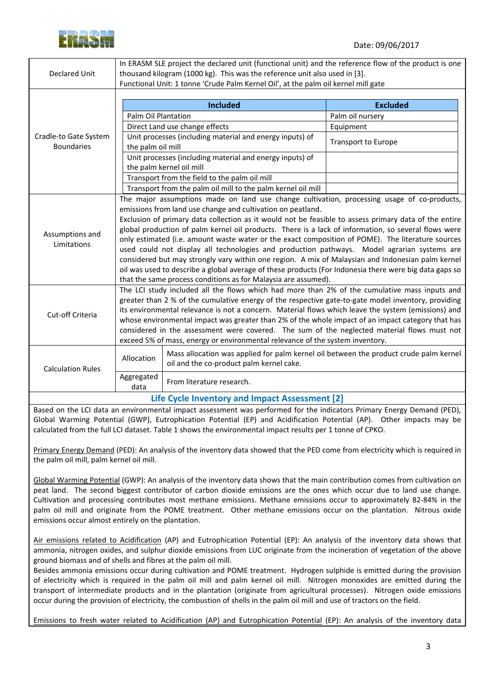

|                                            |                                                                                                        | In ERASM SLE project the declared unit (functional unit) and the reference flow of the product is one |                  |  |  |
|--------------------------------------------|--------------------------------------------------------------------------------------------------------|-------------------------------------------------------------------------------------------------------|------------------|--|--|
| <b>Declared Unit</b>                       | thousand kilogram (1000 kg). This was the reference unit also used in [3].                             |                                                                                                       |                  |  |  |
|                                            | Functional Unit: 1 tonne 'Crude Palm Kernel Oil', at the palm oil kernel mill gate                     |                                                                                                       |                  |  |  |
|                                            |                                                                                                        |                                                                                                       |                  |  |  |
|                                            | <b>Included</b>                                                                                        |                                                                                                       | <b>Excluded</b>  |  |  |
| Cradle-to Gate System<br><b>Boundaries</b> | Palm Oil Plantation                                                                                    |                                                                                                       | Palm oil nursery |  |  |
|                                            |                                                                                                        | Direct Land use change effects                                                                        | Equipment        |  |  |
|                                            | Unit processes (including material and energy inputs) of                                               |                                                                                                       |                  |  |  |
|                                            | <b>Transport to Europe</b><br>the palm oil mill                                                        |                                                                                                       |                  |  |  |
|                                            | Unit processes (including material and energy inputs) of                                               |                                                                                                       |                  |  |  |
|                                            | the palm kernel oil mill                                                                               |                                                                                                       |                  |  |  |
|                                            |                                                                                                        | Transport from the field to the palm oil mill                                                         |                  |  |  |
|                                            |                                                                                                        | Transport from the palm oil mill to the palm kernel oil mill                                          |                  |  |  |
|                                            | The major assumptions made on land use change cultivation, processing usage of co-products,            |                                                                                                       |                  |  |  |
|                                            | emissions from land use change and cultivation on peatland.                                            |                                                                                                       |                  |  |  |
|                                            |                                                                                                        | Exclusion of primary data collection as it would not be feasible to assess primary data of the entire |                  |  |  |
| Assumptions and                            | global production of palm kernel oil products. There is a lack of information, so several flows were   |                                                                                                       |                  |  |  |
| Limitations                                | only estimated (i.e. amount waste water or the exact composition of POME). The literature sources      |                                                                                                       |                  |  |  |
|                                            | used could not display all technologies and production pathways. Model agrarian systems are            |                                                                                                       |                  |  |  |
|                                            | considered but may strongly vary within one region. A mix of Malaysian and Indonesian palm kernel      |                                                                                                       |                  |  |  |
|                                            | oil was used to describe a global average of these products (For Indonesia there were big data gaps so |                                                                                                       |                  |  |  |
|                                            | that the same process conditions as for Malaysia are assumed).                                         |                                                                                                       |                  |  |  |
|                                            | The LCI study included all the flows which had more than 2% of the cumulative mass inputs and          |                                                                                                       |                  |  |  |
|                                            | greater than 2 % of the cumulative energy of the respective gate-to-gate model inventory, providing    |                                                                                                       |                  |  |  |
| <b>Cut-off Criteria</b>                    | its environmental relevance is not a concern. Material flows which leave the system (emissions) and    |                                                                                                       |                  |  |  |
|                                            | whose environmental impact was greater than 2% of the whole impact of an impact category that has      |                                                                                                       |                  |  |  |
|                                            | considered in the assessment were covered. The sum of the neglected material flows must not            |                                                                                                       |                  |  |  |
|                                            | exceed 5% of mass, energy or environmental relevance of the system inventory.                          |                                                                                                       |                  |  |  |
| <b>Calculation Rules</b>                   | Allocation                                                                                             | Mass allocation was applied for palm kernel oil between the product crude palm kernel                 |                  |  |  |
|                                            |                                                                                                        | oil and the co-product palm kernel cake.                                                              |                  |  |  |
|                                            | Aggregated<br>data                                                                                     | From literature research.                                                                             |                  |  |  |
|                                            |                                                                                                        |                                                                                                       |                  |  |  |
|                                            |                                                                                                        | Life Cycle Inventory and Impact Assessment [2]                                                        |                  |  |  |

Based on the LCI data an environmental impact assessment was performed for the indicators Primary Energy Demand (PED), Global Warming Potential (GWP), Eutrophication Potential (EP) and Acidification Potential (AP). Other impacts may be calculated from the full LCI dataset. Table 1 shows the environmental impact results per 1 tonne of CPKO.

Primary Energy Demand (PED): An analysis of the inventory data showed that the PED come from electricity which is required in the palm oil mill, palm kernel oil mill.

Global Warming Potential (GWP): An analysis of the inventory data shows that the main contribution comes from cultivation on peat land. The second biggest contributor of carbon dioxide emissions are the ones which occur due to land use change. Cultivation and processing contributes most methane emissions. Methane emissions occur to approximately 82‐84% in the palm oil mill and originate from the POME treatment. Other methane emissions occur on the plantation. Nitrous oxide emissions occur almost entirely on the plantation.

Air emissions related to Acidification (AP) and Eutrophication Potential (EP): An analysis of the inventory data shows that ammonia, nitrogen oxides, and sulphur dioxide emissions from LUC originate from the incineration of vegetation of the above ground biomass and of shells and fibres at the palm oil mill.

Besides ammonia emissions occur during cultivation and POME treatment. Hydrogen sulphide is emitted during the provision of electricity which is required in the palm oil mill and palm kernel oil mill. Nitrogen monoxides are emitted during the transport of intermediate products and in the plantation (originate from agricultural processes). Nitrogen oxide emissions occur during the provision of electricity, the combustion of shells in the palm oil mill and use of tractors on the field.

Emissions to fresh water related to Acidification (AP) and Eutrophication Potential (EP): An analysis of the inventory data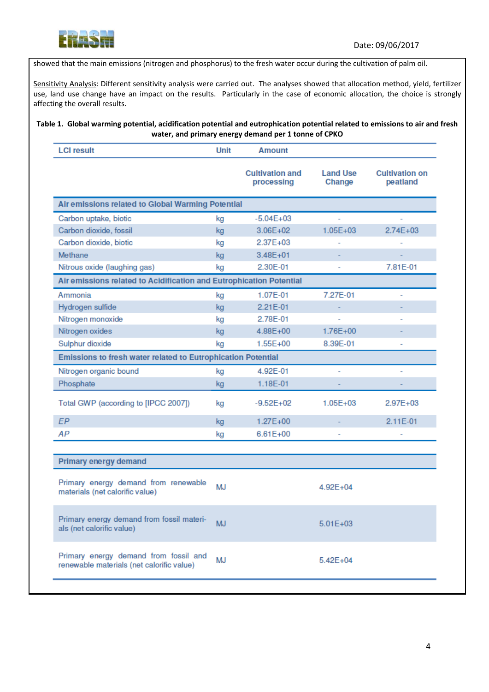

showed that the main emissions (nitrogen and phosphorus) to the fresh water occur during the cultivation of palm oil.

Sensitivity Analysis: Different sensitivity analysis were carried out. The analyses showed that allocation method, yield, fertilizer use, land use change have an impact on the results. Particularly in the case of economic allocation, the choice is strongly affecting the overall results.

#### Table 1. Global warming potential, acidification potential and eutrophication potential related to emissions to air and fresh **water, and primary energy demand per 1 tonne of CPKO**

| <b>LCI result</b>                                                                  | <b>Unit</b> | Amount                               |                           |                                   |
|------------------------------------------------------------------------------------|-------------|--------------------------------------|---------------------------|-----------------------------------|
|                                                                                    |             | <b>Cultivation and</b><br>processing | <b>Land Use</b><br>Change | <b>Cultivation on</b><br>peatland |
| Air emissions related to Global Warming Potential                                  |             |                                      |                           |                                   |
| Carbon uptake, biotic                                                              | kg          | $-5.04E + 03$                        |                           |                                   |
| Carbon dioxide, fossil                                                             | kg          | $3.06E + 02$                         | $1.05E + 03$              | $2.74E + 03$                      |
| Carbon dioxide, biotic                                                             | kg          | $2.37E + 03$                         |                           |                                   |
| Methane                                                                            | kg          | $3.48E + 01$                         |                           |                                   |
| Nitrous oxide (laughing gas)                                                       | kg          | 2.30E-01                             |                           | 7.81E-01                          |
| Air emissions related to Acidification and Eutrophication Potential                |             |                                      |                           |                                   |
| Ammonia                                                                            | kg          | 1.07E-01                             | 7.27E-01                  |                                   |
| Hydrogen sulfide                                                                   | kg          | $2.21E - 01$                         |                           |                                   |
| Nitrogen monoxide                                                                  | kg          | 2.78E-01                             |                           |                                   |
| Nitrogen oxides                                                                    | kg          | 4.88E+00                             | 1.76E+00                  |                                   |
| Sulphur dioxide                                                                    | kg          | $1.55E+00$                           | 8.39E-01                  |                                   |
| Emissions to fresh water related to Eutrophication Potential                       |             |                                      |                           |                                   |
| Nitrogen organic bound                                                             | kg          | 4.92E-01                             | ÷,                        |                                   |
| Phosphate                                                                          | kg          | 1.18E-01                             |                           |                                   |
| Total GWP (according to [IPCC 2007])                                               | kg          | $-9.52E + 02$                        | $1.05E + 03$              | $2.97E + 03$                      |
| <b>EP</b>                                                                          | kg          | $1.27E + 00$                         |                           | $2.11E-01$                        |
| АP                                                                                 | kg          | $6.61E + 00$                         |                           |                                   |
| Primary energy demand                                                              |             |                                      |                           |                                   |
|                                                                                    |             |                                      |                           |                                   |
| Primary energy demand from renewable<br>materials (net calorific value)            | <b>MJ</b>   |                                      | $4.92E + 04$              |                                   |
| Primary energy demand from fossil materi-<br>als (net calorific value)             | <b>MJ</b>   |                                      | $5.01E + 03$              |                                   |
| Primary energy demand from fossil and<br>renewable materials (net calorific value) |             |                                      | $5.42E + 04$              |                                   |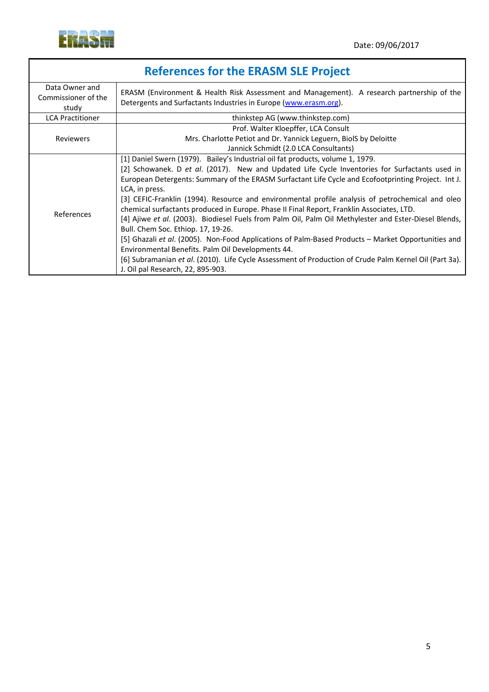

| <b>References for the ERASM SLE Project</b>    |                                                                                                                                                                                                                                                                                                                                                                                                                                                                                                                                                                                                                                                                                                                                                                                                                                                                                                                                                                     |  |
|------------------------------------------------|---------------------------------------------------------------------------------------------------------------------------------------------------------------------------------------------------------------------------------------------------------------------------------------------------------------------------------------------------------------------------------------------------------------------------------------------------------------------------------------------------------------------------------------------------------------------------------------------------------------------------------------------------------------------------------------------------------------------------------------------------------------------------------------------------------------------------------------------------------------------------------------------------------------------------------------------------------------------|--|
| Data Owner and<br>Commissioner of the<br>study | ERASM (Environment & Health Risk Assessment and Management). A research partnership of the<br>Detergents and Surfactants Industries in Europe (www.erasm.org).                                                                                                                                                                                                                                                                                                                                                                                                                                                                                                                                                                                                                                                                                                                                                                                                      |  |
| <b>LCA Practitioner</b>                        | thinkstep AG (www.thinkstep.com)                                                                                                                                                                                                                                                                                                                                                                                                                                                                                                                                                                                                                                                                                                                                                                                                                                                                                                                                    |  |
| <b>Reviewers</b>                               | Prof. Walter Kloepffer, LCA Consult<br>Mrs. Charlotte Petiot and Dr. Yannick Leguern, BiolS by Deloitte<br>Jannick Schmidt (2.0 LCA Consultants)                                                                                                                                                                                                                                                                                                                                                                                                                                                                                                                                                                                                                                                                                                                                                                                                                    |  |
| References                                     | [1] Daniel Swern (1979). Bailey's Industrial oil fat products, volume 1, 1979.<br>[2] Schowanek. D et al. (2017). New and Updated Life Cycle Inventories for Surfactants used in<br>European Detergents: Summary of the ERASM Surfactant Life Cycle and Ecofootprinting Project. Int J.<br>LCA, in press.<br>[3] CEFIC-Franklin (1994). Resource and environmental profile analysis of petrochemical and oleo<br>chemical surfactants produced in Europe. Phase II Final Report, Franklin Associates, LTD.<br>[4] Ajiwe et al. (2003). Biodiesel Fuels from Palm Oil, Palm Oil Methylester and Ester-Diesel Blends,<br>Bull. Chem Soc. Ethiop. 17, 19-26.<br>[5] Ghazali et al. (2005). Non-Food Applications of Palm-Based Products – Market Opportunities and<br>Environmental Benefits. Palm Oil Developments 44.<br>[6] Subramanian et al. (2010). Life Cycle Assessment of Production of Crude Palm Kernel Oil (Part 3a).<br>J. Oil pal Research, 22, 895-903. |  |